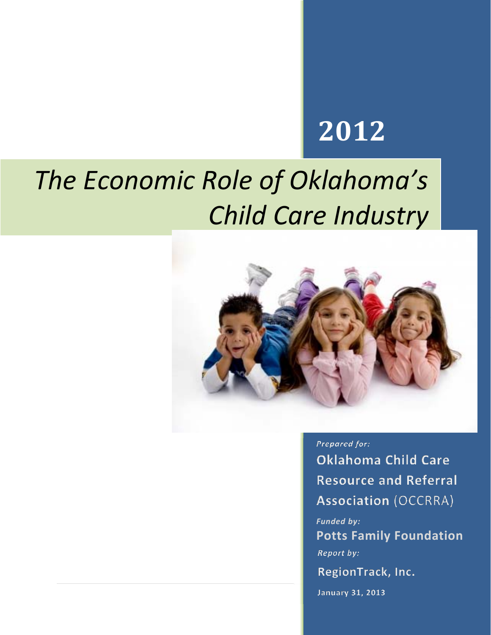# **2012**

# *The Economic Role of Oklahoma's Child Care Industry*



Prepared for: **Oklahoma Child Care Resource and Referral** 

**Association (OCCRRA)** 

*Funded by:*  **Potts Family Foundation**Report by:

RegionTrack, Inc.

January 31, 2013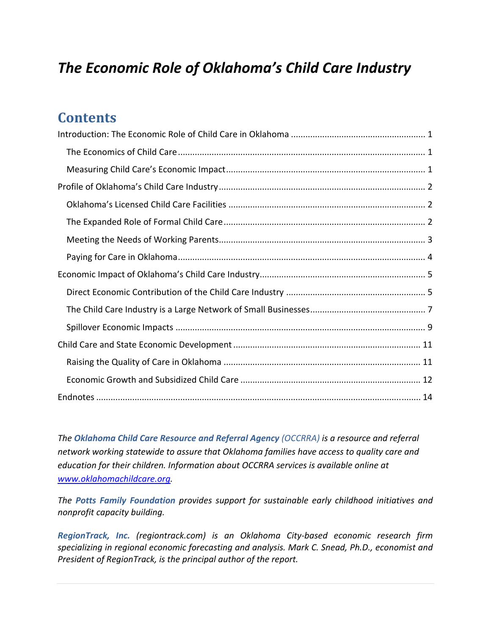# *The Economic Role of Oklahoma's Child Care Industry*

# **Contents**

*The Oklahoma Child Care Resource and Referral Agency (OCCRRA) is a resource and referral network working statewide to assure that Oklahoma families have access to quality care and education for their children. Information about OCCRRA services is available online at www.oklahomachildcare.org.*

*The Potts Family Foundation provides support for sustainable early childhood initiatives and nonprofit capacity building.*

*RegionTrack, Inc. (regiontrack.com) is an Oklahoma City‐based economic research firm specializing in regional economic forecasting and analysis. Mark C. Snead, Ph.D., economist and President of RegionTrack, is the principal author of the report.*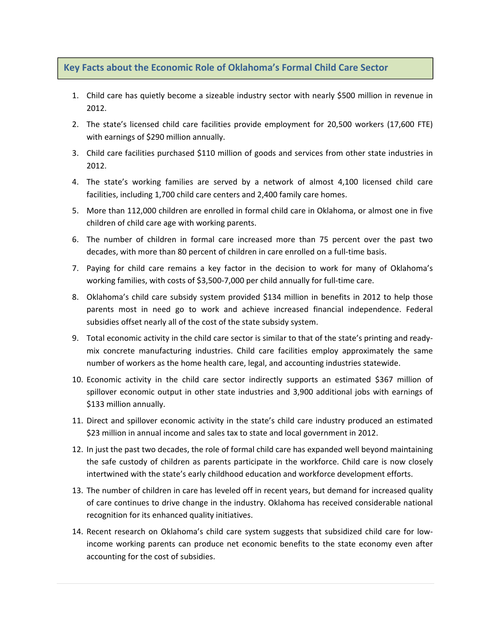#### **Key Facts about the Economic Role of Oklahoma's Formal Child Care Sector**

- 1. Child care has quietly become a sizeable industry sector with nearly \$500 million in revenue in 2012.
- 2. The state's licensed child care facilities provide employment for 20,500 workers (17,600 FTE) with earnings of \$290 million annually.
- 3. Child care facilities purchased \$110 million of goods and services from other state industries in 2012.
- 4. The state's working families are served by a network of almost 4,100 licensed child care facilities, including 1,700 child care centers and 2,400 family care homes.
- 5. More than 112,000 children are enrolled in formal child care in Oklahoma, or almost one in five children of child care age with working parents.
- 6. The number of children in formal care increased more than 75 percent over the past two decades, with more than 80 percent of children in care enrolled on a full‐time basis.
- 7. Paying for child care remains a key factor in the decision to work for many of Oklahoma's working families, with costs of \$3,500‐7,000 per child annually for full‐time care.
- 8. Oklahoma's child care subsidy system provided \$134 million in benefits in 2012 to help those parents most in need go to work and achieve increased financial independence. Federal subsidies offset nearly all of the cost of the state subsidy system.
- 9. Total economic activity in the child care sector is similar to that of the state's printing and ready‐ mix concrete manufacturing industries. Child care facilities employ approximately the same number of workers as the home health care, legal, and accounting industries statewide.
- 10. Economic activity in the child care sector indirectly supports an estimated \$367 million of spillover economic output in other state industries and 3,900 additional jobs with earnings of \$133 million annually.
- 11. Direct and spillover economic activity in the state's child care industry produced an estimated \$23 million in annual income and sales tax to state and local government in 2012.
- 12. In just the past two decades, the role of formal child care has expanded well beyond maintaining the safe custody of children as parents participate in the workforce. Child care is now closely intertwined with the state's early childhood education and workforce development efforts.
- 13. The number of children in care has leveled off in recent years, but demand for increased quality of care continues to drive change in the industry. Oklahoma has received considerable national recognition for its enhanced quality initiatives.
- 14. Recent research on Oklahoma's child care system suggests that subsidized child care for low‐ income working parents can produce net economic benefits to the state economy even after accounting for the cost of subsidies.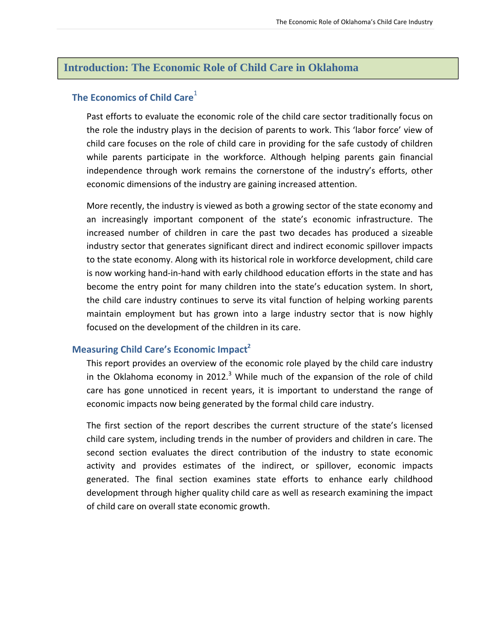#### **Introduction: The Economic Role of Child Care in Oklahoma**

### **The Economics of Child Care**<sup>1</sup>

Past efforts to evaluate the economic role of the child care sector traditionally focus on the role the industry plays in the decision of parents to work. This 'labor force' view of child care focuses on the role of child care in providing for the safe custody of children while parents participate in the workforce. Although helping parents gain financial independence through work remains the cornerstone of the industry's efforts, other economic dimensions of the industry are gaining increased attention.

More recently, the industry is viewed as both a growing sector of the state economy and an increasingly important component of the state's economic infrastructure. The increased number of children in care the past two decades has produced a sizeable industry sector that generates significant direct and indirect economic spillover impacts to the state economy. Along with its historical role in workforce development, child care is now working hand‐in‐hand with early childhood education efforts in the state and has become the entry point for many children into the state's education system. In short, the child care industry continues to serve its vital function of helping working parents maintain employment but has grown into a large industry sector that is now highly focused on the development of the children in its care.

#### **Measuring Child Care's Economic Impact2**

This report provides an overview of the economic role played by the child care industry in the Oklahoma economy in 2012.<sup>3</sup> While much of the expansion of the role of child care has gone unnoticed in recent years, it is important to understand the range of economic impacts now being generated by the formal child care industry.

The first section of the report describes the current structure of the state's licensed child care system, including trends in the number of providers and children in care. The second section evaluates the direct contribution of the industry to state economic activity and provides estimates of the indirect, or spillover, economic impacts generated. The final section examines state efforts to enhance early childhood development through higher quality child care as well as research examining the impact of child care on overall state economic growth.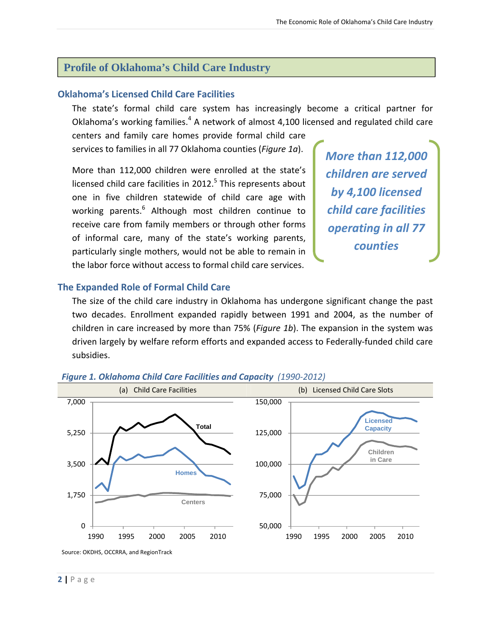### **Profile of Oklahoma's Child Care Industry**

#### **Oklahoma's Licensed Child Care Facilities**

The state's formal child care system has increasingly become a critical partner for Oklahoma's working families. $4\text{ A}$  network of almost 4,100 licensed and regulated child care

centers and family care homes provide formal child care services to families in all 77 Oklahoma counties (*Figure 1a*).

More than 112,000 children were enrolled at the state's licensed child care facilities in  $2012<sup>5</sup>$  This represents about one in five children statewide of child care age with working parents.<sup>6</sup> Although most children continue to receive care from family members or through other forms of informal care, many of the state's working parents, particularly single mothers, would not be able to remain in the labor force without access to formal child care services.

*More than 112,000 children are served by 4,100 licensed child care facilities operating in all 77 counties*

#### **The Expanded Role of Formal Child Care**

The size of the child care industry in Oklahoma has undergone significant change the past two decades. Enrollment expanded rapidly between 1991 and 2004, as the number of children in care increased by more than 75% (*Figure 1b*). The expansion in the system was driven largely by welfare reform efforts and expanded access to Federally‐funded child care subsidies.



#### *Figure 1. Oklahoma Child Care Facilities and Capacity (1990‐2012)*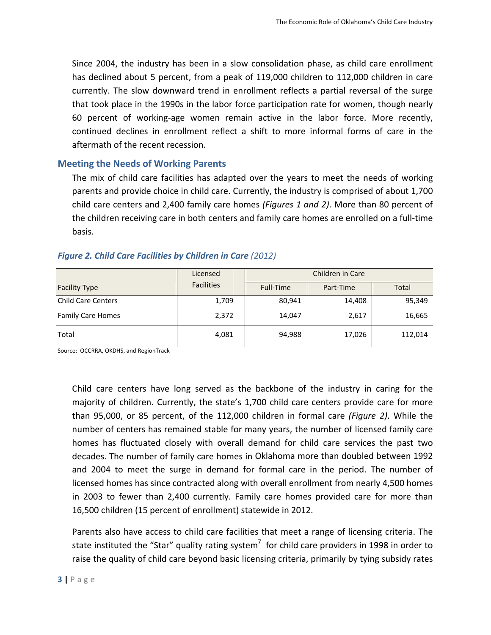Since 2004, the industry has been in a slow consolidation phase, as child care enrollment has declined about 5 percent, from a peak of 119,000 children to 112,000 children in care currently. The slow downward trend in enrollment reflects a partial reversal of the surge that took place in the 1990s in the labor force participation rate for women, though nearly 60 percent of working‐age women remain active in the labor force. More recently, continued declines in enrollment reflect a shift to more informal forms of care in the aftermath of the recent recession.

#### **Meeting the Needs of Working Parents**

The mix of child care facilities has adapted over the years to meet the needs of working parents and provide choice in child care. Currently, the industry is comprised of about 1,700 child care centers and 2,400 family care homes *(Figures 1 and 2)*. More than 80 percent of the children receiving care in both centers and family care homes are enrolled on a full‐time basis.

#### *Figure 2. Child Care Facilities by Children in Care (2012)*

|                           | Licensed          | Children in Care |           |         |  |
|---------------------------|-------------------|------------------|-----------|---------|--|
| <b>Facility Type</b>      | <b>Facilities</b> | Full-Time        | Part-Time | Total   |  |
| <b>Child Care Centers</b> | 1,709             | 80,941           | 14,408    | 95,349  |  |
| Family Care Homes         | 2,372             | 14,047           | 2,617     | 16,665  |  |
| Total                     | 4,081             | 94,988           | 17,026    | 112,014 |  |

Source: OCCRRA, OKDHS, and RegionTrack

Child care centers have long served as the backbone of the industry in caring for the majority of children. Currently, the state's 1,700 child care centers provide care for more than 95,000, or 85 percent, of the 112,000 children in formal care *(Figure 2)*. While the number of centers has remained stable for many years, the number of licensed family care homes has fluctuated closely with overall demand for child care services the past two decades. The number of family care homes in Oklahoma more than doubled between 1992 and 2004 to meet the surge in demand for formal care in the period. The number of licensed homes has since contracted along with overall enrollment from nearly 4,500 homes in 2003 to fewer than 2,400 currently. Family care homes provided care for more than 16,500 children (15 percent of enrollment) statewide in 2012.

Parents also have access to child care facilities that meet a range of licensing criteria. The state instituted the "Star" quality rating system<sup>7</sup> for child care providers in 1998 in order to raise the quality of child care beyond basic licensing criteria, primarily by tying subsidy rates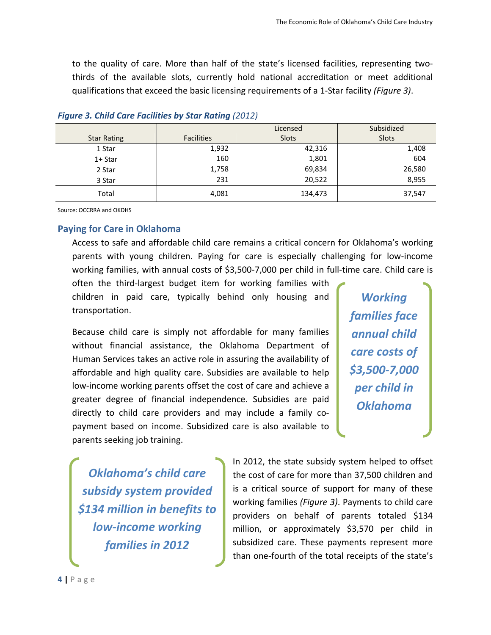to the quality of care. More than half of the state's licensed facilities, representing two‐ thirds of the available slots, currently hold national accreditation or meet additional qualifications that exceed the basic licensing requirements of a 1‐Star facility *(Figure 3)*.

|                    |                   | Licensed | Subsidized |
|--------------------|-------------------|----------|------------|
| <b>Star Rating</b> | <b>Facilities</b> | Slots    | Slots      |
| 1 Star             | 1,932             | 42,316   | 1,408      |
| $1+$ Star          | 160               | 1,801    | 604        |
| 2 Star             | 1,758             | 69,834   | 26,580     |
| 3 Star             | 231               | 20,522   | 8,955      |
| Total              | 4,081             | 134,473  | 37,547     |

#### *Figure 3. Child Care Facilities by Star Rating (2012)*

Source: OCCRRA and OKDHS

#### **Paying for Care in Oklahoma**

Access to safe and affordable child care remains a critical concern for Oklahoma's working parents with young children. Paying for care is especially challenging for low‐income working families, with annual costs of \$3,500-7,000 per child in full-time care. Child care is

often the third‐largest budget item for working families with children in paid care, typically behind only housing and transportation.

Because child care is simply not affordable for many families without financial assistance, the Oklahoma Department of Human Services takes an active role in assuring the availability of affordable and high quality care. Subsidies are available to help low‐income working parents offset the cost of care and achieve a greater degree of financial independence. Subsidies are paid directly to child care providers and may include a family co‐ payment based on income. Subsidized care is also available to parents seeking job training.

*Working families face annual child care costs of \$3,500‐7,000 per child in Oklahoma*

*Oklahoma's child care subsidy system provided \$134 million in benefits to low‐income working families in 2012*

In 2012, the state subsidy system helped to offset the cost of care for more than 37,500 children and is a critical source of support for many of these working families *(Figure 3)*. Payments to child care providers on behalf of parents totaled \$134 million, or approximately \$3,570 per child in subsidized care. These payments represent more than one‐fourth of the total receipts of the state's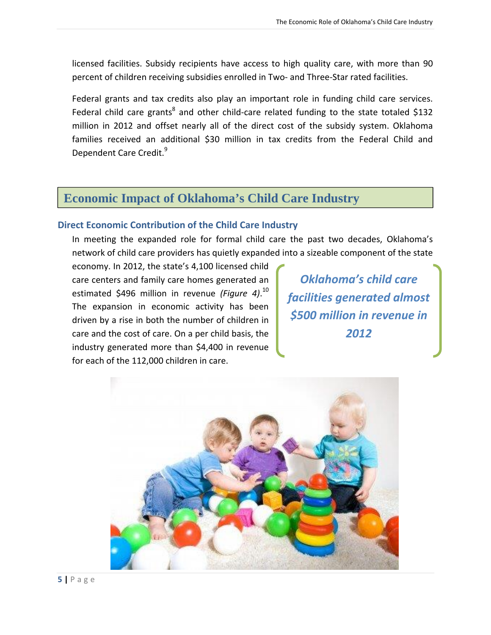licensed facilities. Subsidy recipients have access to high quality care, with more than 90 percent of children receiving subsidies enrolled in Two- and Three-Star rated facilities.

Federal grants and tax credits also play an important role in funding child care services. Federal child care grants<sup>8</sup> and other child-care related funding to the state totaled \$132 million in 2012 and offset nearly all of the direct cost of the subsidy system. Oklahoma families received an additional \$30 million in tax credits from the Federal Child and Dependent Care Credit.<sup>9</sup>

## **Economic Impact of Oklahoma's Child Care Industry**

#### **Direct Economic Contribution of the Child Care Industry**

In meeting the expanded role for formal child care the past two decades, Oklahoma's network of child care providers has quietly expanded into a sizeable component of the state

economy. In 2012, the state's 4,100 licensed child care centers and family care homes generated an estimated \$496 million in revenue *(Figure 4)*. 10 The expansion in economic activity has been driven by a rise in both the number of children in care and the cost of care. On a per child basis, the industry generated more than \$4,400 in revenue for each of the 112,000 children in care.

*Oklahoma's child care facilities generated almost \$500 million in revenue in 2012*

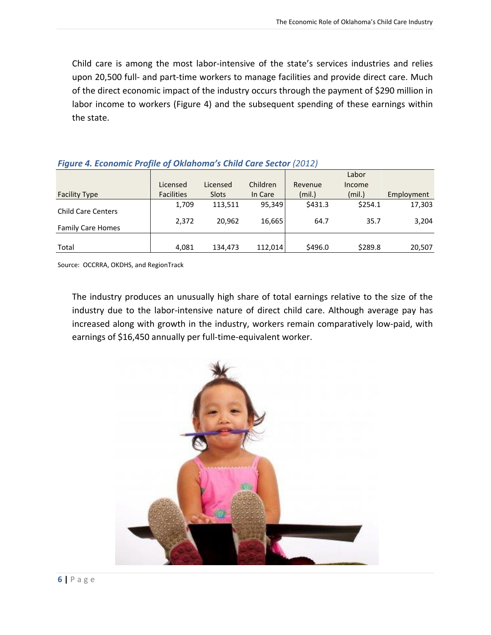Child care is among the most labor‐intensive of the state's services industries and relies upon 20,500 full- and part-time workers to manage facilities and provide direct care. Much of the direct economic impact of the industry occurs through the payment of \$290 million in labor income to workers (Figure 4) and the subsequent spending of these earnings within the state.

|                           |                   |              |          |         | Labor   |            |
|---------------------------|-------------------|--------------|----------|---------|---------|------------|
|                           | Licensed          | Licensed     | Children | Revenue | Income  |            |
| <b>Facility Type</b>      | <b>Facilities</b> | <b>Slots</b> | In Care  | (mil.)  | (mil.)  | Employment |
| <b>Child Care Centers</b> | 1,709             | 113,511      | 95,349   | \$431.3 | \$254.1 | 17,303     |
| <b>Family Care Homes</b>  | 2,372             | 20.962       | 16,665   | 64.7    | 35.7    | 3,204      |
| Total                     | 4,081             | 134,473      | 112.014  | \$496.0 | \$289.8 | 20,507     |

#### *Figure 4. Economic Profile of Oklahoma's Child Care Sector (2012)*

Source: OCCRRA, OKDHS, and RegionTrack

The industry produces an unusually high share of total earnings relative to the size of the industry due to the labor‐intensive nature of direct child care. Although average pay has increased along with growth in the industry, workers remain comparatively low‐paid, with earnings of \$16,450 annually per full-time-equivalent worker.

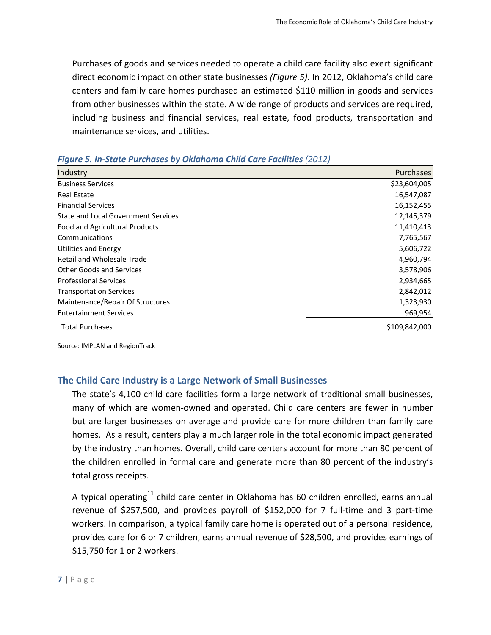Purchases of goods and services needed to operate a child care facility also exert significant direct economic impact on other state businesses *(Figure 5)*. In 2012, Oklahoma's child care centers and family care homes purchased an estimated \$110 million in goods and services from other businesses within the state. A wide range of products and services are required, including business and financial services, real estate, food products, transportation and maintenance services, and utilities.

| $\sim$ . The state is also the state of the state of the state of the state of the state $\sim$ |               |  |  |  |  |
|-------------------------------------------------------------------------------------------------|---------------|--|--|--|--|
| Industry                                                                                        | Purchases     |  |  |  |  |
| <b>Business Services</b>                                                                        | \$23,604,005  |  |  |  |  |
| <b>Real Estate</b>                                                                              | 16,547,087    |  |  |  |  |
| <b>Financial Services</b>                                                                       | 16, 152, 455  |  |  |  |  |
| <b>State and Local Government Services</b>                                                      | 12,145,379    |  |  |  |  |
| Food and Agricultural Products                                                                  | 11,410,413    |  |  |  |  |
| Communications                                                                                  | 7,765,567     |  |  |  |  |
| Utilities and Energy                                                                            | 5,606,722     |  |  |  |  |
| <b>Retail and Wholesale Trade</b>                                                               | 4,960,794     |  |  |  |  |
| <b>Other Goods and Services</b>                                                                 | 3,578,906     |  |  |  |  |
| <b>Professional Services</b>                                                                    | 2,934,665     |  |  |  |  |
| <b>Transportation Services</b>                                                                  | 2,842,012     |  |  |  |  |
| Maintenance/Repair Of Structures                                                                | 1,323,930     |  |  |  |  |
| <b>Entertainment Services</b>                                                                   | 969,954       |  |  |  |  |
| <b>Total Purchases</b>                                                                          | \$109,842,000 |  |  |  |  |

| Figure 5. In-State Purchases by Oklahoma Child Care Facilities (2012) |  |  |  |  |  |
|-----------------------------------------------------------------------|--|--|--|--|--|
|-----------------------------------------------------------------------|--|--|--|--|--|

Source: IMPLAN and RegionTrack

#### **The Child Care Industry is a Large Network of Small Businesses**

The state's 4,100 child care facilities form a large network of traditional small businesses, many of which are women‐owned and operated. Child care centers are fewer in number but are larger businesses on average and provide care for more children than family care homes. As a result, centers play a much larger role in the total economic impact generated by the industry than homes. Overall, child care centers account for more than 80 percent of the children enrolled in formal care and generate more than 80 percent of the industry's total gross receipts.

A typical operating<sup>11</sup> child care center in Oklahoma has 60 children enrolled, earns annual revenue of \$257,500, and provides payroll of \$152,000 for 7 full‐time and 3 part‐time workers. In comparison, a typical family care home is operated out of a personal residence, provides care for 6 or 7 children, earns annual revenue of \$28,500, and provides earnings of \$15,750 for 1 or 2 workers.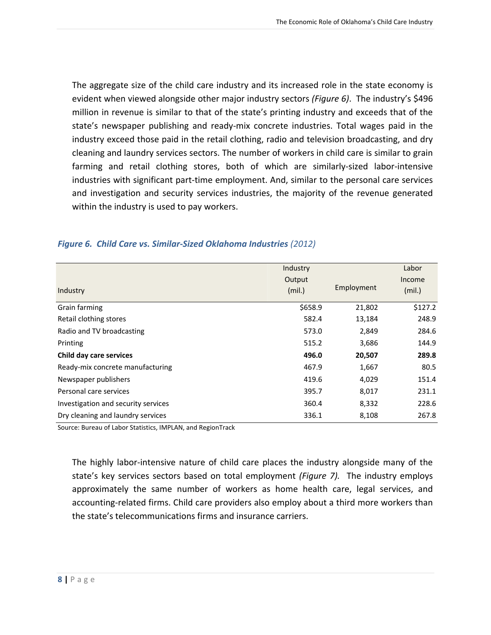The aggregate size of the child care industry and its increased role in the state economy is evident when viewed alongside other major industry sectors *(Figure 6)*. The industry's \$496 million in revenue is similar to that of the state's printing industry and exceeds that of the state's newspaper publishing and ready‐mix concrete industries. Total wages paid in the industry exceed those paid in the retail clothing, radio and television broadcasting, and dry cleaning and laundry services sectors. The number of workers in child care is similar to grain farming and retail clothing stores, both of which are similarly‐sized labor‐intensive industries with significant part‐time employment. And, similar to the personal care services and investigation and security services industries, the majority of the revenue generated within the industry is used to pay workers.

|                                     | Industry |            | Labor   |
|-------------------------------------|----------|------------|---------|
|                                     | Output   |            | Income  |
| Industry                            | (mil.)   | Employment | (mil.)  |
| Grain farming                       | \$658.9  | 21,802     | \$127.2 |
| Retail clothing stores              | 582.4    | 13,184     | 248.9   |
| Radio and TV broadcasting           | 573.0    | 2,849      | 284.6   |
| Printing                            | 515.2    | 3,686      | 144.9   |
| Child day care services             | 496.0    | 20,507     | 289.8   |
| Ready-mix concrete manufacturing    | 467.9    | 1,667      | 80.5    |
| Newspaper publishers                | 419.6    | 4,029      | 151.4   |
| Personal care services              | 395.7    | 8,017      | 231.1   |
| Investigation and security services | 360.4    | 8,332      | 228.6   |
| Dry cleaning and laundry services   | 336.1    | 8,108      | 267.8   |

#### *Figure 6. Child Care vs. Similar‐Sized Oklahoma Industries (2012)*

Source: Bureau of Labor Statistics, IMPLAN, and RegionTrack

The highly labor‐intensive nature of child care places the industry alongside many of the state's key services sectors based on total employment *(Figure 7).* The industry employs approximately the same number of workers as home health care, legal services, and accounting‐related firms. Child care providers also employ about a third more workers than the state's telecommunications firms and insurance carriers.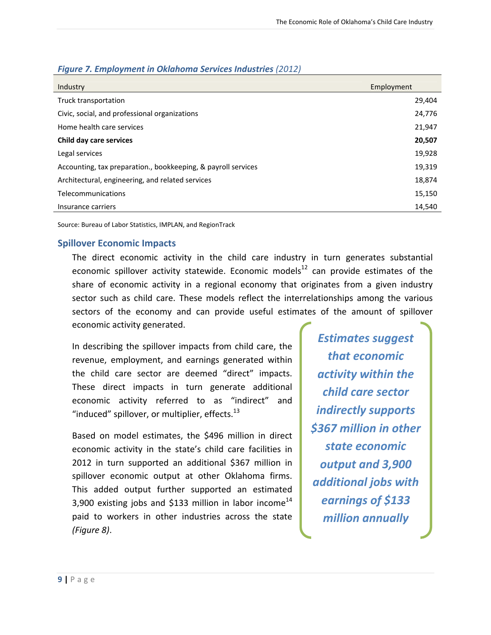| Industry                                                      | Employment |
|---------------------------------------------------------------|------------|
| Truck transportation                                          | 29,404     |
| Civic, social, and professional organizations                 | 24,776     |
| Home health care services                                     | 21,947     |
| Child day care services                                       | 20,507     |
| Legal services                                                | 19,928     |
| Accounting, tax preparation., bookkeeping, & payroll services | 19,319     |
| Architectural, engineering, and related services              | 18,874     |
| Telecommunications                                            | 15,150     |
| Insurance carriers                                            | 14,540     |

#### *Figure 7. Employment in Oklahoma Services Industries (2012)*

Source: Bureau of Labor Statistics, IMPLAN, and RegionTrack

#### **Spillover Economic Impacts**

The direct economic activity in the child care industry in turn generates substantial economic spillover activity statewide. Economic models<sup>12</sup> can provide estimates of the share of economic activity in a regional economy that originates from a given industry sector such as child care. These models reflect the interrelationships among the various sectors of the economy and can provide useful estimates of the amount of spillover economic activity generated.

In describing the spillover impacts from child care, the revenue, employment, and earnings generated within the child care sector are deemed "direct" impacts. These direct impacts in turn generate additional economic activity referred to as "indirect" and "induced" spillover, or multiplier, effects. $^{13}$ 

Based on model estimates, the \$496 million in direct economic activity in the state's child care facilities in 2012 in turn supported an additional \$367 million in spillover economic output at other Oklahoma firms. This added output further supported an estimated 3,900 existing jobs and \$133 million in labor income<sup>14</sup> paid to workers in other industries across the state *(Figure 8)*.

*Estimates suggest that economic activity within the child care sector indirectly supports \$367 million in other state economic output and 3,900 additional jobs with earnings of \$133 million annually*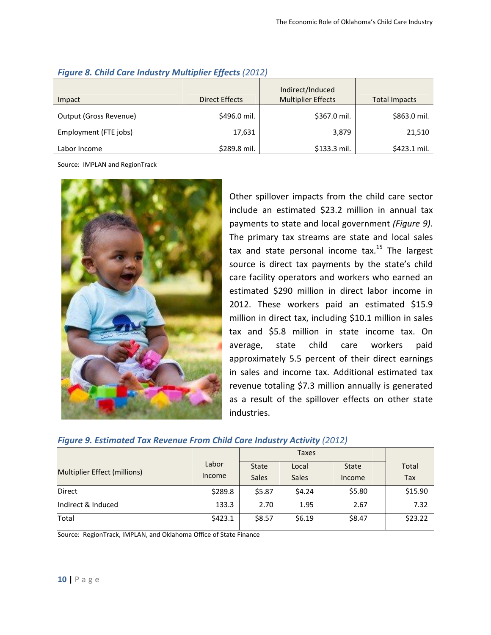|                        |                | Indirect/Induced          |               |
|------------------------|----------------|---------------------------|---------------|
| Impact                 | Direct Effects | <b>Multiplier Effects</b> | Total Impacts |
| Output (Gross Revenue) | \$496.0 mil.   | \$367.0 mil.              | \$863.0 mil.  |
| Employment (FTE jobs)  | 17,631         | 3,879                     | 21,510        |
| Labor Income           | \$289.8 mil.   | \$133.3 mil.              | \$423.1 mil.  |

#### *Figure 8. Child Care Industry Multiplier Effects (2012)*

Source: IMPLAN and RegionTrack



Other spillover impacts from the child care sector include an estimated \$23.2 million in annual tax payments to state and local government *(Figure 9)*. The primary tax streams are state and local sales tax and state personal income tax.<sup>15</sup> The largest source is direct tax payments by the state's child care facility operators and workers who earned an estimated \$290 million in direct labor income in 2012. These workers paid an estimated \$15.9 million in direct tax, including \$10.1 million in sales tax and \$5.8 million in state income tax. On average, state child care workers paid approximately 5.5 percent of their direct earnings in sales and income tax. Additional estimated tax revenue totaling \$7.3 million annually is generated as a result of the spillover effects on other state industries.

#### *Figure 9. Estimated Tax Revenue From Child Care Industry Activity (2012)*

|                              |                 | Taxes                        |                       |                        |              |
|------------------------------|-----------------|------------------------------|-----------------------|------------------------|--------------|
| Multiplier Effect (millions) | Labor<br>Income | <b>State</b><br><b>Sales</b> | Local<br><b>Sales</b> | <b>State</b><br>Income | Total<br>Tax |
| Direct                       | \$289.8         | \$5.87                       | \$4.24                | \$5.80                 | \$15.90      |
| Indirect & Induced           | 133.3           | 2.70                         | 1.95                  | 2.67                   | 7.32         |
| Total                        | \$423.1         | \$8.57                       | \$6.19                | \$8.47                 | \$23.22      |

Source: RegionTrack, IMPLAN, and Oklahoma Office of State Finance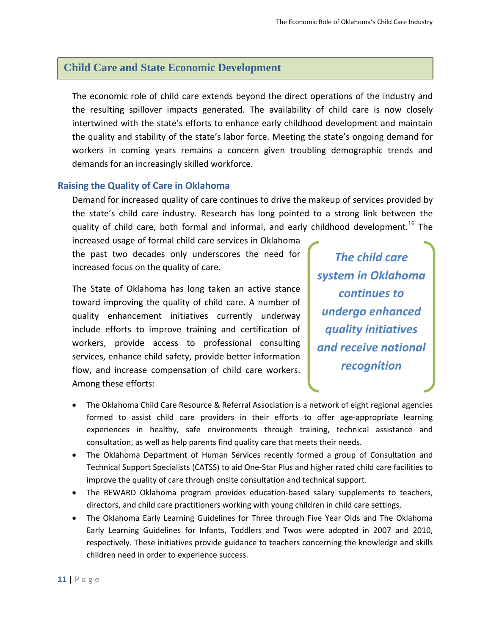## **Child Care and State Economic Development**

The economic role of child care extends beyond the direct operations of the industry and the resulting spillover impacts generated. The availability of child care is now closely intertwined with the state's efforts to enhance early childhood development and maintain the quality and stability of the state's labor force. Meeting the state's ongoing demand for workers in coming years remains a concern given troubling demographic trends and demands for an increasingly skilled workforce.

#### **Raising the Quality of Care in Oklahoma**

Demand for increased quality of care continues to drive the makeup of services provided by the state's child care industry. Research has long pointed to a strong link between the quality of child care, both formal and informal, and early childhood development.<sup>16</sup> The

increased usage of formal child care services in Oklahoma the past two decades only underscores the need for increased focus on the quality of care.

The State of Oklahoma has long taken an active stance toward improving the quality of child care. A number of quality enhancement initiatives currently underway include efforts to improve training and certification of workers, provide access to professional consulting services, enhance child safety, provide better information flow, and increase compensation of child care workers. Among these efforts:

*The child care system in Oklahoma continues to undergo enhanced quality initiatives and receive national recognition*

- The Oklahoma Child Care Resource & Referral Association is a network of eight regional agencies formed to assist child care providers in their efforts to offer age-appropriate learning experiences in healthy, safe environments through training, technical assistance and consultation, as well as help parents find quality care that meets their needs.
- The Oklahoma Department of Human Services recently formed a group of Consultation and Technical Support Specialists (CATSS) to aid One‐Star Plus and higher rated child care facilities to improve the quality of care through onsite consultation and technical support.
- The REWARD Oklahoma program provides education-based salary supplements to teachers, directors, and child care practitioners working with young children in child care settings.
- The Oklahoma Early Learning Guidelines for Three through Five Year Olds and The Oklahoma Early Learning Guidelines for Infants, Toddlers and Twos were adopted in 2007 and 2010, respectively. These initiatives provide guidance to teachers concerning the knowledge and skills children need in order to experience success.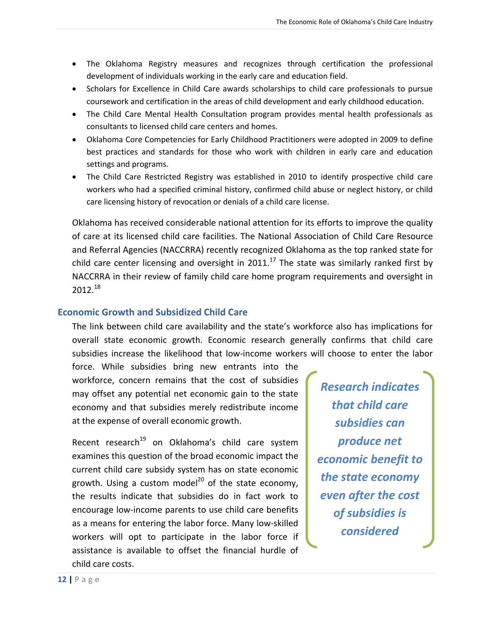- The Oklahoma Registry measures and recognizes through certification the professional development of individuals working in the early care and education field.
- Scholars for Excellence in Child Care awards scholarships to child care professionals to pursue coursework and certification in the areas of child development and early childhood education.
- The Child Care Mental Health Consultation program provides mental health professionals as consultants to licensed child care centers and homes.
- Oklahoma Core Competencies for Early Childhood Practitioners were adopted in 2009 to define best practices and standards for those who work with children in early care and education settings and programs.
- The Child Care Restricted Registry was established in 2010 to identify prospective child care workers who had a specified criminal history, confirmed child abuse or neglect history, or child care licensing history of revocation or denials of a child care license.

Oklahoma has received considerable national attention for its efforts to improve the quality of care at its licensed child care facilities. The National Association of Child Care Resource and Referral Agencies (NACCRRA) recently recognized Oklahoma as the top ranked state for child care center licensing and oversight in 2011.<sup>17</sup> The state was similarly ranked first by NACCRRA in their review of family child care home program requirements and oversight in  $2012.<sup>18</sup>$ 

#### **Economic Growth and Subsidized Child Care**

The link between child care availability and the state's workforce also has implications for overall state economic growth. Economic research generally confirms that child care subsidies increase the likelihood that low‐income workers will choose to enter the labor

force. While subsidies bring new entrants into the workforce, concern remains that the cost of subsidies may offset any potential net economic gain to the state economy and that subsidies merely redistribute income at the expense of overall economic growth.

Recent research<sup>19</sup> on Oklahoma's child care system examines this question of the broad economic impact the current child care subsidy system has on state economic growth. Using a custom model<sup>20</sup> of the state economy, the results indicate that subsidies do in fact work to encourage low‐income parents to use child care benefits as a means for entering the labor force. Many low‐skilled workers will opt to participate in the labor force if assistance is available to offset the financial hurdle of child care costs.

*Research indicates that child care subsidies can produce net economic benefit to the state economy even after the cost of subsidies is considered*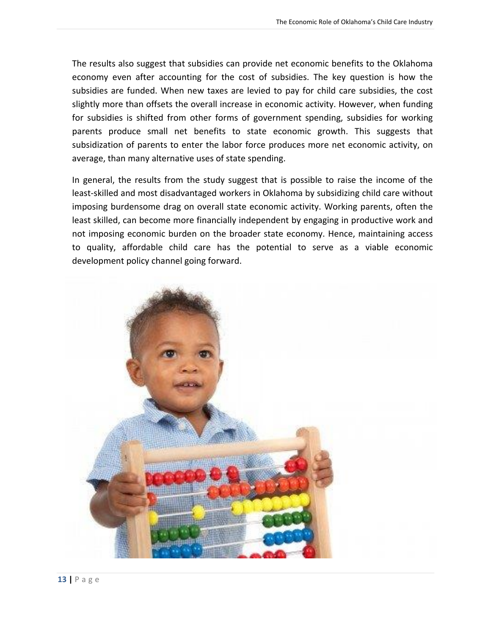The results also suggest that subsidies can provide net economic benefits to the Oklahoma economy even after accounting for the cost of subsidies. The key question is how the subsidies are funded. When new taxes are levied to pay for child care subsidies, the cost slightly more than offsets the overall increase in economic activity. However, when funding for subsidies is shifted from other forms of government spending, subsidies for working parents produce small net benefits to state economic growth. This suggests that subsidization of parents to enter the labor force produces more net economic activity, on average, than many alternative uses of state spending.

In general, the results from the study suggest that is possible to raise the income of the least-skilled and most disadvantaged workers in Oklahoma by subsidizing child care without imposing burdensome drag on overall state economic activity. Working parents, often the least skilled, can become more financially independent by engaging in productive work and not imposing economic burden on the broader state economy. Hence, maintaining access to quality, affordable child care has the potential to serve as a viable economic development policy channel going forward.

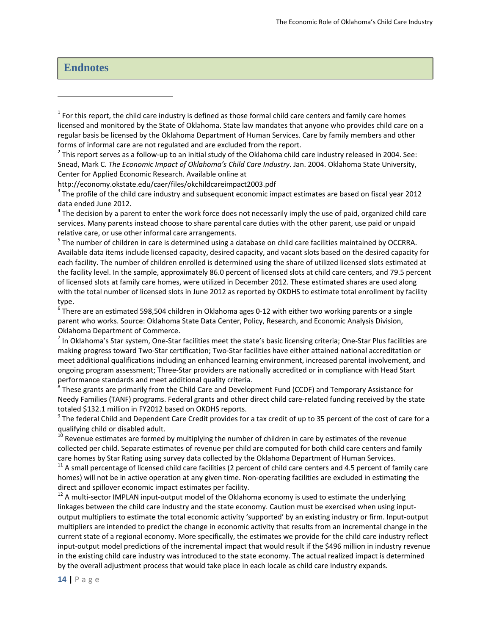#### **Endnotes**

http://economy.okstate.edu/caer/files/okchildcareimpact2003.pdf<br> $3$  The profile of the child care industry and subsequent economic impact estimates are based on fiscal year 2012 data ended June 2012.<br><sup>4</sup> The decision by a parent to enter the work force does not necessarily imply the use of paid, organized child care

services. Many parents instead choose to share parental care duties with the other parent, use paid or unpaid relative care, or use other informal care arrangements.<br><sup>5</sup> The number of children in care is determined using a database on child care facilities maintained by OCCRRA.

Available data items include licensed capacity, desired capacity, and vacant slots based on the desired capacity for each facility. The number of children enrolled is determined using the share of utilized licensed slots estimated at the facility level. In the sample, approximately 86.0 percent of licensed slots at child care centers, and 79.5 percent of licensed slots at family care homes, were utilized in December 2012. These estimated shares are used along with the total number of licensed slots in June 2012 as reported by OKDHS to estimate total enrollment by facility type.

 $67$ here are an estimated 598,504 children in Oklahoma ages 0-12 with either two working parents or a single parent who works. Source: Oklahoma State Data Center, Policy, Research, and Economic Analysis Division, Oklahoma Department of Commerce.<br><sup>7</sup> In Oklahoma's Star system, One‐Star facilities meet the state's basic licensing criteria; One‐Star Plus facilities are

making progress toward Two‐Star certification; Two‐Star facilities have either attained national accreditation or meet additional qualifications including an enhanced learning environment, increased parental involvement, and ongoing program assessment; Three‐Star providers are nationally accredited or in compliance with Head Start performance standards and meet additional quality criteria.<br><sup>8</sup> These grants are primarily from the Child Care and Development Fund (CCDF) and Temporary Assistance for

Needy Families (TANF) programs. Federal grants and other direct child care-related funding received by the state

totaled \$132.1 million in FY2012 based on OKDHS reports.<br><sup>9</sup> The federal Child and Dependent Care Credit provides for a tax credit of up to 35 percent of the cost of care for a qualifying child or disabled adult.

qualitying child or disabilities and the child of the number of children in care by estimates of the revenue  $10$ <br>Revenue estimates are formed by multiplying the number of children in care by estimates of the revenue collected per child. Separate estimates of revenue per child are computed for both child care centers and family care homes by Star Rating using survey data collected by the Oklahoma Department of Human Services.<br><sup>11</sup> A small percentage of licensed child care facilities (2 percent of child care centers and 4.5 percent of family care

homes) will not be in active operation at any given time. Non-operating facilities are excluded in estimating the direct and spillover economic impact estimates per facility.<br><sup>12</sup> A multi-sector IMPLAN input-output model of the Oklahoma economy is used to estimate the underlying

linkages between the child care industry and the state economy. Caution must be exercised when using inputoutput multipliers to estimate the total economic activity 'supported' by an existing industry or firm. Input‐output multipliers are intended to predict the change in economic activity that results from an incremental change in the current state of a regional economy. More specifically, the estimates we provide for the child care industry reflect input-output model predictions of the incremental impact that would result if the \$496 million in industry revenue in the existing child care industry was introduced to the state economy. The actual realized impact is determined by the overall adjustment process that would take place in each locale as child care industry expands.

 $1$  For this report, the child care industry is defined as those formal child care centers and family care homes licensed and monitored by the State of Oklahoma. State law mandates that anyone who provides child care on a regular basis be licensed by the Oklahoma Department of Human Services. Care by family members and other forms of informal care are not regulated and are excluded from the report.<br>
<sup>2</sup> This report serves as a follow-up to an initial study of the Oklahoma child care industry released in 2004. See:

Snead, Mark C. *The Economic Impact of Oklahoma's Child Care Industry*. Jan. 2004. Oklahoma State University, Center for Applied Economic Research. Available online at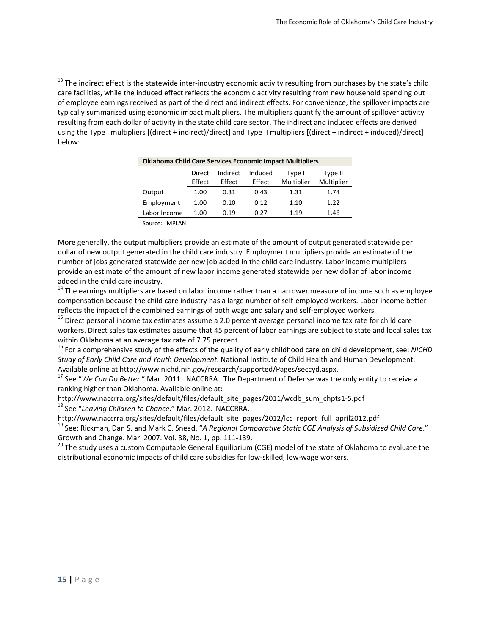<sup>13</sup> The indirect effect is the statewide inter-industry economic activity resulting from purchases by the state's child care facilities, while the induced effect reflects the economic activity resulting from new household spending out of employee earnings received as part of the direct and indirect effects. For convenience, the spillover impacts are typically summarized using economic impact multipliers. The multipliers quantify the amount of spillover activity resulting from each dollar of activity in the state child care sector. The indirect and induced effects are derived using the Type I multipliers [(direct + indirect)/direct] and Type II multipliers [(direct + indirect + induced)/direct] below:

<u> 1989 - Johann Stoff, amerikansk politiker (d. 1989)</u>

| <b>Oklahoma Child Care Services Economic Impact Multipliers</b>                                              |      |      |      |      |      |  |  |
|--------------------------------------------------------------------------------------------------------------|------|------|------|------|------|--|--|
| Indirect<br>Induced<br>Direct<br>Type II<br>Type I<br>Effect<br>Multiplier<br>Multiplier<br>Effect<br>Effect |      |      |      |      |      |  |  |
| Output                                                                                                       | 1.00 | 0.31 | 0.43 | 1.31 | 1.74 |  |  |
| Employment                                                                                                   | 1.00 | 0.10 | 0.12 | 1.10 | 1.22 |  |  |
| Labor Income                                                                                                 | 1.00 | 0.19 | 0.27 | 1.19 | 1.46 |  |  |

Source: IMPLAN

More generally, the output multipliers provide an estimate of the amount of output generated statewide per dollar of new output generated in the child care industry. Employment multipliers provide an estimate of the number of jobs generated statewide per new job added in the child care industry. Labor income multipliers provide an estimate of the amount of new labor income generated statewide per new dollar of labor income

added in the child care industry.<br><sup>14</sup> The earnings multipliers are based on labor income rather than a narrower measure of income such as employee compensation because the child care industry has a large number of self‐employed workers. Labor income better reflects the impact of the combined earnings of both wage and salary and self-employed workers.<br><sup>15</sup> Direct personal income tax estimates assume a 2.0 percent average personal income tax rate for child care

workers. Direct sales tax estimates assume that 45 percent of labor earnings are subject to state and local sales tax

within Oklahoma at an average tax rate of 7.75 percent.<br><sup>16</sup> For a comprehensive study of the effects of the quality of early childhood care on child development, see: *NICHD Study of Early Child Care and Youth Development*. National Institute of Child Health and Human Development.

Available online at http://www.nichd.nih.gov/research/supported/Pages/seccyd.aspx. <sup>17</sup> See "*We Can Do Better*." Mar. 2011. NACCRRA. The Department of Defense was the only entity to receive <sup>a</sup> ranking higher than Oklahoma. Available online at:

http://www.naccrra.org/sites/default/files/default\_site\_pages/2011/wcdb\_sum\_chpts1‐5.pdf <sup>18</sup> See "*Leaving Children to Chance*." Mar. 2012. NACCRRA.

http://www.naccrra.org/sites/default/files/default\_site\_pages/2012/lcc\_report\_full\_april2012.pdf<br><sup>19</sup> See: Rickman, Dan S. and Mark C. Snead. "A Regional Comparative Static CGE Analysis of Subsidized Child Care." Growth and Change. Mar. 2007. Vol. 38, No. 1, pp. 111-139.<br><sup>20</sup> The study uses a custom Computable General Equilibrium (CGE) model of the state of Oklahoma to evaluate the

distributional economic impacts of child care subsidies for low‐skilled, low‐wage workers.